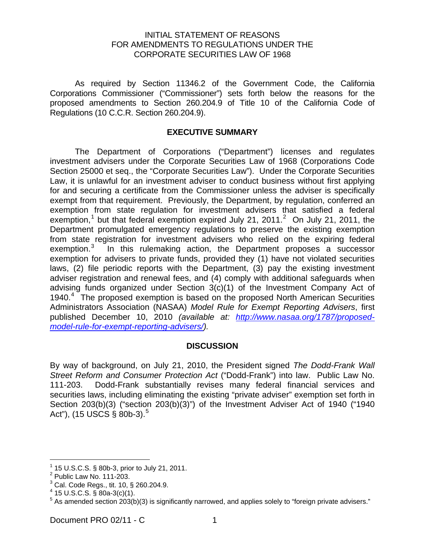### INITIAL STATEMENT OF REASONS FOR AMENDMENTS TO REGULATIONS UNDER THE CORPORATE SECURITIES LAW OF 1968

 As required by Section 11346.2 of the Government Code, the California Corporations Commissioner ("Commissioner") sets forth below the reasons for the proposed amendments to Section 260.204.9 of Title 10 of the California Code of Regulations (10 C.C.R. Section 260.204.9).

# **EXECUTIVE SUMMARY**

 The Department of Corporations ("Department") licenses and regulates investment advisers under the Corporate Securities Law of 1968 (Corporations Code Section 25000 et seq., the "Corporate Securities Law"). Under the Corporate Securities Law, it is unlawful for an investment adviser to conduct business without first applying for and securing a certificate from the Commissioner unless the adviser is specifically exempt from that requirement. Previously, the Department, by regulation, conferred an exemption from state regulation for investment advisers that satisfied a federal exemption,<sup>[1](#page-4-0)</sup> but that federal exemption expired July [2](#page-0-0)1, 2011.<sup>2</sup> On July 21, 2011, the Department promulgated emergency regulations to preserve the existing exemption from state registration for investment advisers who relied on the expiring federal exemption.<sup>[3](#page-0-1)</sup> In this rulemaking action, the Department proposes a successor exemption for advisers to private funds, provided they (1) have not violated securities laws, (2) file periodic reports with the Department, (3) pay the existing investment adviser registration and renewal fees, and (4) comply with additional safeguards when advising funds organized under Section 3(c)(1) of the Investment Company Act of 19[4](#page-0-2)0.<sup>4</sup> The proposed exemption is based on the proposed North American Securities Administrators Association (NASAA) *Model Rule for Exempt Reporting Advisers*, first published December 10, 2010 *(available at: [http://www.nasaa.org/1787/proposed](http://www.nasaa.org/1787/proposed-model-rule-for-exempt-reporting-advisers/)[model-rule-for-exempt-reporting-advisers/](http://www.nasaa.org/1787/proposed-model-rule-for-exempt-reporting-advisers/)).* 

#### **DISCUSSION**

By way of background, on July 21, 2010, the President signed *The Dodd-Frank Wall Street Reform and Consumer Protection Act* ("Dodd-Frank") into law. Public Law No. 111-203. Dodd-Frank substantially revises many federal financial services and securities laws, including eliminating the existing "private adviser" exemption set forth in Section 203(b)(3) ("section 203(b)(3)") of the Investment Adviser Act of 1940 ("1940 Act"), (1[5](#page-0-3) USCS  $\S$  80b-3).<sup>5</sup>

<span id="page-0-4"></span>i

 $1$  15 U.S.C.S. § 80b-3, prior to July 21, 2011.

<span id="page-0-0"></span> $2$  Public Law No. 111-203.

<span id="page-0-1"></span> $^3$  Cal. Code Regs., tit. 10, § 260.204.9.

<span id="page-0-2"></span> $4$  15 U.S.C.S. § 80a-3(c)(1).

<span id="page-0-3"></span> $5$  As amended section 203(b)(3) is significantly narrowed, and applies solely to "foreign private advisers."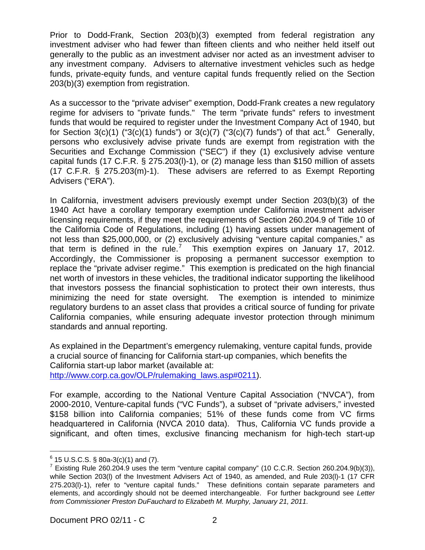Prior to Dodd-Frank, Section 203(b)(3) exempted from federal registration any investment adviser who had fewer than fifteen clients and who neither held itself out generally to the public as an investment adviser nor acted as an investment adviser to any investment company. Advisers to alternative investment vehicles such as hedge funds, private-equity funds, and venture capital funds frequently relied on the Section 203(b)(3) exemption from registration.

As a successor to the "private adviser" exemption, Dodd-Frank creates a new regulatory regime for advisers to "private funds." The term "private funds" refers to investment funds that would be required to register under the Investment Company Act of 1940, but for Section 3(c)(1) ("3(c)(1) funds") or 3(c)(7) ("3(c)(7) funds") of that act.<sup>[6](#page-0-4)</sup> Generally, persons who exclusively advise private funds are exempt from registration with the Securities and Exchange Commission ("SEC") if they (1) exclusively advise venture capital funds (17 C.F.R. § 275.203(l)-1), or (2) manage less than \$150 million of assets (17 C.F.R. § 275.203(m)-1). These advisers are referred to as Exempt Reporting Advisers ("ERA").

In California, investment advisers previously exempt under Section 203(b)(3) of the 1940 Act have a corollary temporary exemption under California investment adviser licensing requirements, if they meet the requirements of Section 260.204.9 of Title 10 of the California Code of Regulations, including (1) having assets under management of not less than \$25,000,000, or (2) exclusively advising "venture capital companies," as that term is defined in the rule.<sup>[7](#page-1-0)</sup> This exemption expires on January 17, 2012. Accordingly, the Commissioner is proposing a permanent successor exemption to replace the "private adviser regime." This exemption is predicated on the high financial net worth of investors in these vehicles, the traditional indicator supporting the likelihood that investors possess the financial sophistication to protect their own interests, thus minimizing the need for state oversight. The exemption is intended to minimize regulatory burdens to an asset class that provides a critical source of funding for private California companies, while ensuring adequate investor protection through minimum standards and annual reporting.

As explained in the Department's emergency rulemaking, venture capital funds, provide a crucial source of financing for California start-up companies, which benefits the California start-up labor market (available at: [http://www.corp.ca.gov/OLP/rulemaking\\_laws.asp#0211](http://www.corp.ca.gov/OLP/rulemaking_laws.asp#0211)).

<span id="page-1-1"></span>For example, according to the National Venture Capital Association ("NVCA"), from 2000-2010, Venture-capital funds ("VC Funds"), a subset of "private advisers," invested \$158 billion into California companies; 51% of these funds come from VC firms headquartered in California (NVCA 2010 data). Thus, California VC funds provide a significant, and often times, exclusive financing mechanism for high-tech start-up

 $\overline{\phantom{0}}$ 

 $^6$  15 U.S.C.S. § 80a-3(c)(1) and (7).

<span id="page-1-0"></span> $^7$  Existing Rule 260.204.9 uses the term "venture capital company" (10 C.C.R. Section 260.204.9(b)(3)), while Section 203(l) of the Investment Advisers Act of 1940, as amended, and Rule 203(l)-1 (17 CFR 275.203(l)-1), refer to "venture capital funds." These definitions contain separate parameters and elements, and accordingly should not be deemed interchangeable. For further background see *Letter from Commissioner Preston DuFauchard to Elizabeth M. Murphy, January 21, 2011.*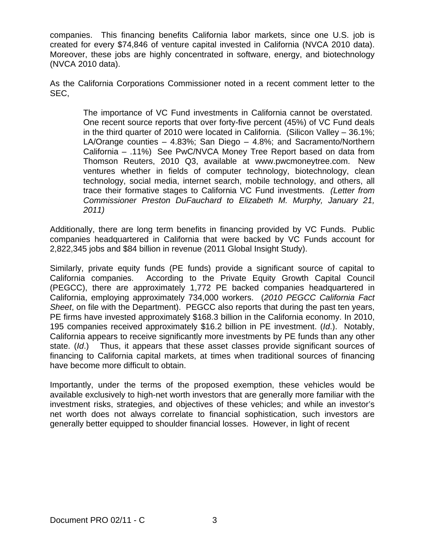companies. This financing benefits California labor markets, since one U.S. job is created for every \$74,846 of venture capital invested in California (NVCA 2010 data). Moreover, these jobs are highly concentrated in software, energy, and biotechnology (NVCA 2010 data).

As the California Corporations Commissioner noted in a recent comment letter to the SEC,

> The importance of VC Fund investments in California cannot be overstated. One recent source reports that over forty-five percent (45%) of VC Fund deals in the third quarter of 2010 were located in California. (Silicon Valley – 36.1%; LA/Orange counties – 4.83%; San Diego – 4.8%; and Sacramento/Northern California – .11%) See PwC/NVCA Money Tree Report based on data from Thomson Reuters, 2010 Q3, available at www.pwcmoneytree.com. New ventures whether in fields of computer technology, biotechnology, clean technology, social media, internet search, mobile technology, and others, all trace their formative stages to California VC Fund investments. *(Letter from Commissioner Preston DuFauchard to Elizabeth M. Murphy, January 21, 2011)*

Additionally, there are long term benefits in financing provided by VC Funds. Public companies headquartered in California that were backed by VC Funds account for 2,822,345 jobs and \$84 billion in revenue (2011 Global Insight Study).

Similarly, private equity funds (PE funds) provide a significant source of capital to California companies. According to the Private Equity Growth Capital Council (PEGCC), there are approximately 1,772 PE backed companies headquartered in California, employing approximately 734,000 workers. (*2010 PEGCC California Fact Sheet*, on file with the Department). PEGCC also reports that during the past ten years, PE firms have invested approximately \$168.3 billion in the California economy. In 2010, 195 companies received approximately \$16.2 billion in PE investment. (*Id*.). Notably, California appears to receive significantly more investments by PE funds than any other state. (*Id*.) Thus, it appears that these asset classes provide significant sources of financing to California capital markets, at times when traditional sources of financing have become more difficult to obtain.

Importantly, under the terms of the proposed exemption, these vehicles would be available exclusively to high-net worth investors that are generally more familiar with the investment risks, strategies, and objectives of these vehicles; and while an investor's net worth does not always correlate to financial sophistication, such investors are generally better equipped to shoulder financial losses. However, in light of recent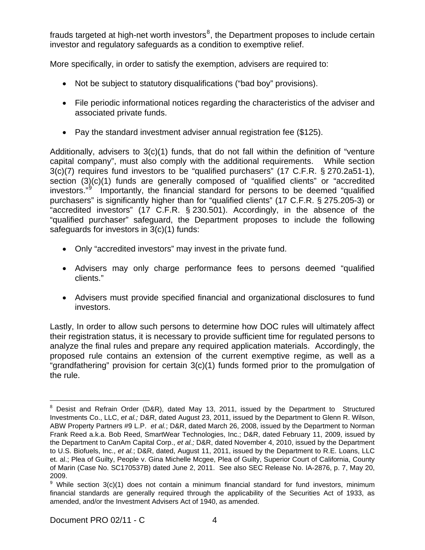frauds targeted at high-net worth investors $^8$  $^8$ , the Department proposes to include certain investor and regulatory safeguards as a condition to exemptive relief.

More specifically, in order to satisfy the exemption, advisers are required to:

- Not be subject to statutory disqualifications ("bad boy" provisions).
- File periodic informational notices regarding the characteristics of the adviser and associated private funds.
- Pay the standard investment adviser annual registration fee (\$125).

Additionally, advisers to 3(c)(1) funds, that do not fall within the definition of "venture capital company", must also comply with the additional requirements. While section 3(c)(7) requires fund investors to be "qualified purchasers" (17 C.F.R. § 270.2a51-1), section (3)(c)(1) funds are generally composed of "qualified clients" or "accredited investors." Importantly, the financial standard for persons to be deemed "qualified purchasers" is significantly higher than for "qualified clients" (17 C.F.R. § 275.205-3) or "accredited investors" (17 C.F.R. § 230.501). Accordingly, in the absence of the "qualified purchaser" safeguard, the Department proposes to include the following safeguards for investors in 3(c)(1) funds:

- Only "accredited investors" may invest in the private fund.
- Advisers may only charge performance fees to persons deemed "qualified clients."
- Advisers must provide specified financial and organizational disclosures to fund investors.

Lastly, In order to allow such persons to determine how DOC rules will ultimately affect their registration status, it is necessary to provide sufficient time for regulated persons to analyze the final rules and prepare any required application materials. Accordingly, the proposed rule contains an extension of the current exemptive regime, as well as a "grandfathering" provision for certain 3(c)(1) funds formed prior to the promulgation of the rule.

i  $8$  Desist and Refrain Order (D&R), dated May 13, 2011, issued by the Department to Structured Investments Co., LLC, *et al.;* D&R, dated August 23, 2011, issued by the Department to Glenn R. Wilson, ABW Property Partners #9 L.P. *et al.*; D&R, dated March 26, 2008, issued by the Department to Norman Frank Reed a.k.a. Bob Reed, SmartWear Technologies, Inc.; D&R, dated February 11, 2009, issued by the Department to CanAm Capital Corp., *et al.;* D&R, dated November 4, 2010, issued by the Department to U.S. Biofuels, Inc., *et al.*; D&R, dated, August 11, 2011, issued by the Department to R.E. Loans, LLC et. al.; Plea of Guilty, People v. Gina Michelle Mcgee, Plea of Guilty, Superior Court of California, County of Marin (Case No. SC170537B) dated June 2, 2011. See also SEC Release No. IA-2876, p. 7, May 20, 2009.

<span id="page-3-0"></span><sup>&</sup>lt;sup>9</sup> While section 3(c)(1) does not contain a minimum financial standard for fund investors, minimum financial standards are generally required through the applicability of the Securities Act of 1933, as amended, and/or the Investment Advisers Act of 1940, as amended.